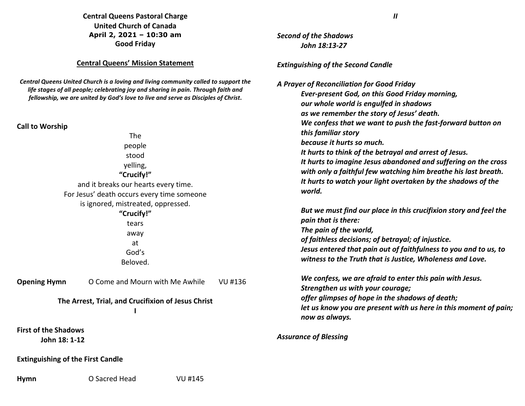## **Central Queens Pastoral Charge United Church of Canada April 2, 2021 – 10:30 am Good Friday**

## **Central Queens' Mission Statement**

*Central Queens United Church is a loving and living community called to support the life stages of all people; celebrating joy and sharing in pain. Through faith and fellowship, we are united by God's love to live and serve as Disciples of Christ***.** 

### **Call to Worship**

The people stood yelling, **"Crucify!"** and it breaks our hearts every time. For Jesus' death occurs every time someone is ignored, mistreated, oppressed.

> **"Crucify!"** tears away at God's Beloved.

**Opening Hymn** O Come and Mourn with Me Awhile VU #136

# **The Arrest, Trial, and Crucifixion of Jesus Christ**

**First of the Shadows**

**John 18: 1-12**

## **Extinguishing of the First Candle**

**Hymn** O Sacred Head VU #145

*II*

*Second of the ShadowsJohn 18:13-27*

### *Extinguishing of the Second Candle*

*A Prayer of Reconciliation for Good Friday Ever-present God, on this Good Friday morning, our whole world is engulfed in shadows as we remember the story of Jesus' death. We confess that we want to push the fast-forward button on this familiar story because it hurts so much. It hurts to think of the betrayal and arrest of Jesus. It hurts to imagine Jesus abandoned and suffering on the cross with only a faithful few watching him breathe his last breath. It hurts to watch your light overtaken by the shadows of the world.* 

*But we must find our place in this crucifixion story and feel the pain that is there: The pain of the world, of faithless decisions; of betrayal; of injustice. Jesus entered that pain out of faithfulness to you and to us, to witness to the Truth that is Justice, Wholeness and Love.* 

*We confess, we are afraid to enter this pain with Jesus. Strengthen us with your courage; offer glimpses of hope in the shadows of death; let us know you are present with us here in this moment of pain; now as always.*

### *Assurance of Blessing*